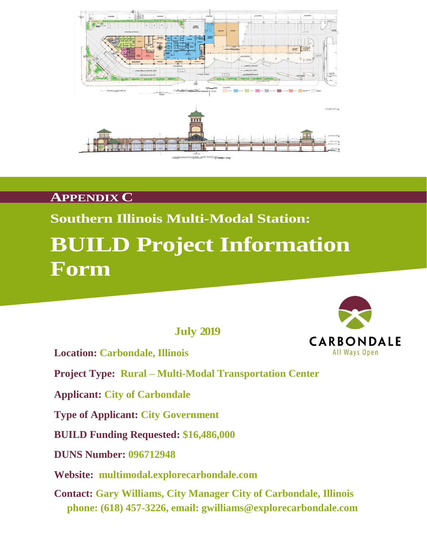

### **APPENDIX C**

## **Southern Illinois Multi-Modal Station:**

# **BUILD Project Information Form**

 **July 2019**





**Applicant: City of Carbondale**

**Type of Applicant: City Government**

**BUILD Funding Requested: \$16,486,000**

**DUNS Number: 096712948**

**Website: multimodal.explorecarbondale.com**

**Contact: Gary Williams, City Manager City of Carbondale, Illinois phone: (618) 457-3226, email: gwilliams@explorecarbondale.com**

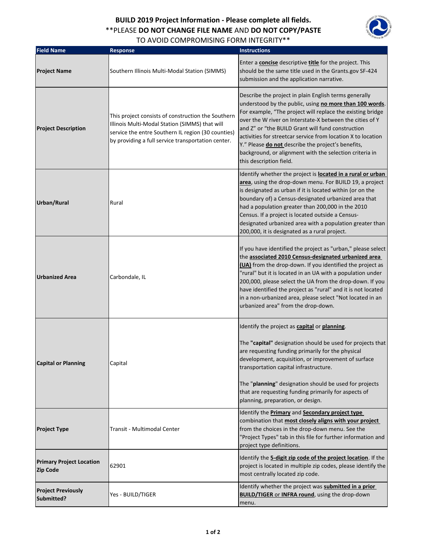### **BUILD 2019 Project Information - Please complete all fields.** \*\*PLEASE **DO NOT CHANGE FILE NAME** AND **DO NOT COPY/PASTE**  TO AVOID COMPROMISING FORM INTEGRITY\*\*



| <b>Field Name</b>                                  | <b>Response</b>                                                                                                                                                                                                  | <b>Instructions</b>                                                                                                                                                                                                                                                                                                                                                                                                                                                                                         |
|----------------------------------------------------|------------------------------------------------------------------------------------------------------------------------------------------------------------------------------------------------------------------|-------------------------------------------------------------------------------------------------------------------------------------------------------------------------------------------------------------------------------------------------------------------------------------------------------------------------------------------------------------------------------------------------------------------------------------------------------------------------------------------------------------|
| <b>Project Name</b>                                | Southern Illinois Multi-Modal Station (SIMMS)                                                                                                                                                                    | Enter a <b>concise</b> descriptive <b>title</b> for the project. This<br>should be the same title used in the Grants.gov SF-424<br>submission and the application narrative.                                                                                                                                                                                                                                                                                                                                |
| <b>Project Description</b>                         | This project consists of construction the Southern<br>Illinois Multi-Modal Station (SIMMS) that will<br>service the entre Southern IL region (30 counties)<br>by providing a full service transportation center. | Describe the project in plain English terms generally<br>understood by the public, using no more than 100 words.<br>For example, "The project will replace the existing bridge<br>over the W river on Interstate-X between the cities of Y<br>and Z" or "the BUILD Grant will fund construction<br>activities for streetcar service from location X to location<br>Y." Please do not describe the project's benefits,<br>background, or alignment with the selection criteria in<br>this description field. |
| Urban/Rural                                        | Rural                                                                                                                                                                                                            | Identify whether the project is <b>located in a rural or urban</b><br>area, using the drop-down menu. For BUILD 19, a project<br>is designated as urban if it is located within (or on the<br>boundary of) a Census-designated urbanized area that<br>had a population greater than 200,000 in the 2010<br>Census. If a project is located outside a Census-<br>designated urbanized area with a population greater than<br>200,000, it is designated as a rural project.                                   |
| <b>Urbanized Area</b>                              | Carbondale, IL                                                                                                                                                                                                   | If you have identified the project as "urban," please select<br>the associated 2010 Census-designated urbanized area<br>(UA) from the drop-down. If you identified the project as<br>"rural" but it is located in an UA with a population under<br>200,000, please select the UA from the drop-down. If you<br>have identified the project as "rural" and it is not located<br>in a non-urbanized area, please select "Not located in an<br>urbanized area" from the drop-down.                             |
| <b>Capital or Planning</b>                         | Capital                                                                                                                                                                                                          | Identify the project as capital or planning.<br>The "capital" designation should be used for projects that<br>are requesting funding primarily for the physical<br>development, acquisition, or improvement of surface<br>transportation capital infrastructure.<br>The "planning" designation should be used for projects<br>that are requesting funding primarily for aspects of<br>planning, preparation, or design.                                                                                     |
| <b>Project Type</b>                                | Transit - Multimodal Center                                                                                                                                                                                      | Identify the <b>Primary</b> and <b>Secondary project type</b><br>combination that most closely aligns with your project<br>from the choices in the drop-down menu. See the<br>"Project Types" tab in this file for further information and<br>project type definitions.                                                                                                                                                                                                                                     |
| <b>Primary Project Location</b><br><b>Zip Code</b> | 62901                                                                                                                                                                                                            | Identify the 5-digit zip code of the project location. If the<br>project is located in multiple zip codes, please identify the<br>most centrally located zip code.                                                                                                                                                                                                                                                                                                                                          |
| <b>Project Previously</b><br>Submitted?            | Yes - BUILD/TIGER                                                                                                                                                                                                | Identify whether the project was submitted in a prior<br><b>BUILD/TIGER or INFRA round</b> , using the drop-down<br>menu.                                                                                                                                                                                                                                                                                                                                                                                   |